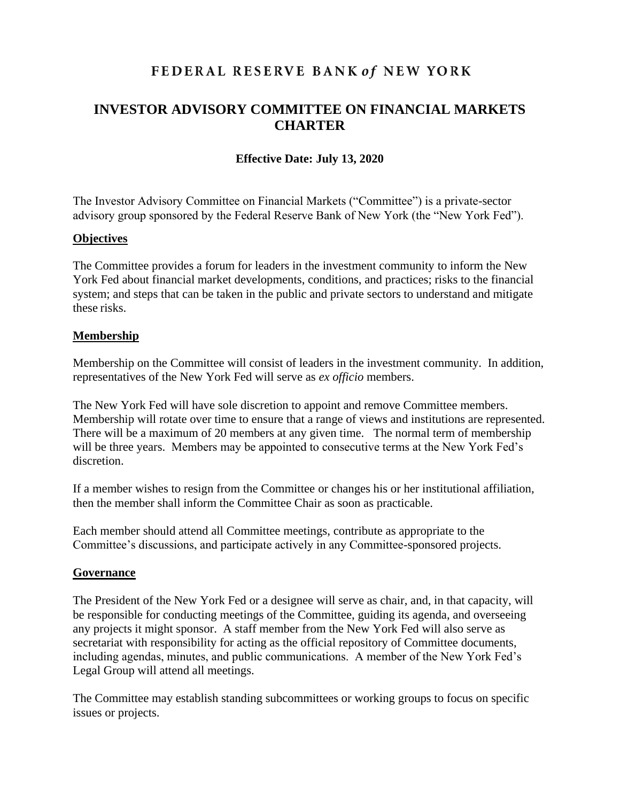# FEDERAL RESERVE BANK of NEW YORK

## **INVESTOR ADVISORY COMMITTEE ON FINANCIAL MARKETS CHARTER**

### **Effective Date: July 13, 2020**

The Investor Advisory Committee on Financial Markets ("Committee") is a private-sector advisory group sponsored by the Federal Reserve Bank of New York (the "New York Fed").

#### **Objectives**

The Committee provides a forum for leaders in the investment community to inform the New York Fed about financial market developments, conditions, and practices; risks to the financial system; and steps that can be taken in the public and private sectors to understand and mitigate these risks.

#### **Membership**

Membership on the Committee will consist of leaders in the investment community. In addition, representatives of the New York Fed will serve as *ex officio* members.

The New York Fed will have sole discretion to appoint and remove Committee members. Membership will rotate over time to ensure that a range of views and institutions are represented. There will be a maximum of 20 members at any given time. The normal term of membership will be three years. Members may be appointed to consecutive terms at the New York Fed's discretion.

If a member wishes to resign from the Committee or changes his or her institutional affiliation, then the member shall inform the Committee Chair as soon as practicable.

Each member should attend all Committee meetings, contribute as appropriate to the Committee's discussions, and participate actively in any Committee-sponsored projects.

#### **Governance**

The President of the New York Fed or a designee will serve as chair, and, in that capacity, will be responsible for conducting meetings of the Committee, guiding its agenda, and overseeing any projects it might sponsor. A staff member from the New York Fed will also serve as secretariat with responsibility for acting as the official repository of Committee documents, including agendas, minutes, and public communications. A member of the New York Fed's Legal Group will attend all meetings.

The Committee may establish standing subcommittees or working groups to focus on specific issues or projects.